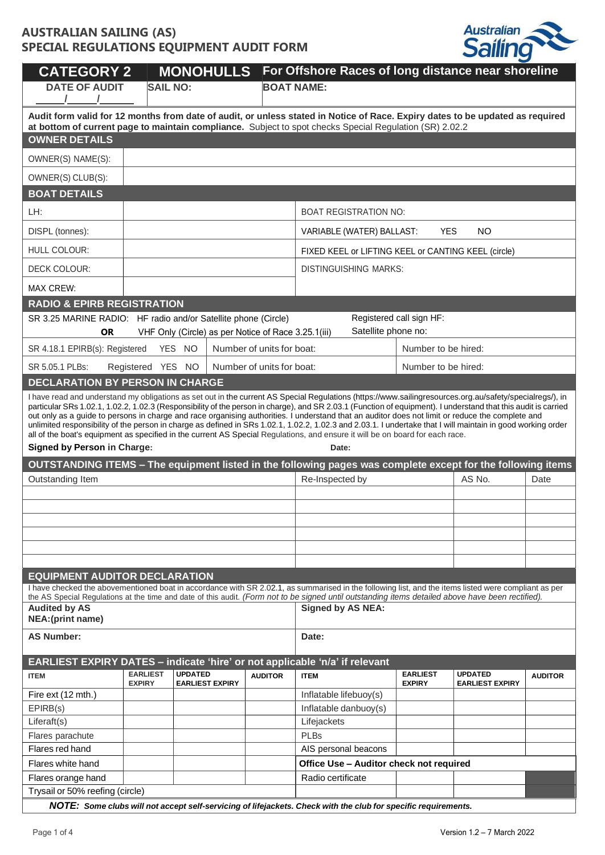

| <b>CATEGORY 2</b>                                                                                                                                                                                                                                                                                                                                                                   |                                                                             |                                                                 | <b>MONOHULLS</b> |                                                     | For Offshore Races of long distance near shoreline                                                                                                                                                                                                                                                                                                                                                                                                                                                                                                                                                                                                                                                                                                                                       |                                  |                                          |                |
|-------------------------------------------------------------------------------------------------------------------------------------------------------------------------------------------------------------------------------------------------------------------------------------------------------------------------------------------------------------------------------------|-----------------------------------------------------------------------------|-----------------------------------------------------------------|------------------|-----------------------------------------------------|------------------------------------------------------------------------------------------------------------------------------------------------------------------------------------------------------------------------------------------------------------------------------------------------------------------------------------------------------------------------------------------------------------------------------------------------------------------------------------------------------------------------------------------------------------------------------------------------------------------------------------------------------------------------------------------------------------------------------------------------------------------------------------------|----------------------------------|------------------------------------------|----------------|
| <b>DATE OF AUDIT</b>                                                                                                                                                                                                                                                                                                                                                                | <b>SAIL NO:</b>                                                             |                                                                 |                  | <b>BOAT NAME:</b>                                   |                                                                                                                                                                                                                                                                                                                                                                                                                                                                                                                                                                                                                                                                                                                                                                                          |                                  |                                          |                |
| Audit form valid for 12 months from date of audit, or unless stated in Notice of Race. Expiry dates to be updated as required<br>at bottom of current page to maintain compliance. Subject to spot checks Special Regulation (SR) 2.02.2                                                                                                                                            |                                                                             |                                                                 |                  |                                                     |                                                                                                                                                                                                                                                                                                                                                                                                                                                                                                                                                                                                                                                                                                                                                                                          |                                  |                                          |                |
| <b>OWNER DETAILS</b>                                                                                                                                                                                                                                                                                                                                                                |                                                                             |                                                                 |                  |                                                     |                                                                                                                                                                                                                                                                                                                                                                                                                                                                                                                                                                                                                                                                                                                                                                                          |                                  |                                          |                |
| OWNER(S) NAME(S):                                                                                                                                                                                                                                                                                                                                                                   |                                                                             |                                                                 |                  |                                                     |                                                                                                                                                                                                                                                                                                                                                                                                                                                                                                                                                                                                                                                                                                                                                                                          |                                  |                                          |                |
| OWNER(S) CLUB(S):                                                                                                                                                                                                                                                                                                                                                                   |                                                                             |                                                                 |                  |                                                     |                                                                                                                                                                                                                                                                                                                                                                                                                                                                                                                                                                                                                                                                                                                                                                                          |                                  |                                          |                |
| <b>BOAT DETAILS</b>                                                                                                                                                                                                                                                                                                                                                                 |                                                                             |                                                                 |                  |                                                     |                                                                                                                                                                                                                                                                                                                                                                                                                                                                                                                                                                                                                                                                                                                                                                                          |                                  |                                          |                |
| LH:                                                                                                                                                                                                                                                                                                                                                                                 |                                                                             |                                                                 |                  |                                                     | <b>BOAT REGISTRATION NO:</b>                                                                                                                                                                                                                                                                                                                                                                                                                                                                                                                                                                                                                                                                                                                                                             |                                  |                                          |                |
| DISPL (tonnes):                                                                                                                                                                                                                                                                                                                                                                     |                                                                             |                                                                 |                  |                                                     | VARIABLE (WATER) BALLAST:                                                                                                                                                                                                                                                                                                                                                                                                                                                                                                                                                                                                                                                                                                                                                                | <b>YES</b>                       | <b>NO</b>                                |                |
| HULL COLOUR:                                                                                                                                                                                                                                                                                                                                                                        |                                                                             |                                                                 |                  |                                                     | FIXED KEEL or LIFTING KEEL or CANTING KEEL (circle)                                                                                                                                                                                                                                                                                                                                                                                                                                                                                                                                                                                                                                                                                                                                      |                                  |                                          |                |
| DECK COLOUR:                                                                                                                                                                                                                                                                                                                                                                        |                                                                             |                                                                 |                  |                                                     | <b>DISTINGUISHING MARKS:</b>                                                                                                                                                                                                                                                                                                                                                                                                                                                                                                                                                                                                                                                                                                                                                             |                                  |                                          |                |
| <b>MAX CREW:</b>                                                                                                                                                                                                                                                                                                                                                                    |                                                                             |                                                                 |                  |                                                     |                                                                                                                                                                                                                                                                                                                                                                                                                                                                                                                                                                                                                                                                                                                                                                                          |                                  |                                          |                |
| <b>RADIO &amp; EPIRB REGISTRATION</b>                                                                                                                                                                                                                                                                                                                                               |                                                                             |                                                                 |                  |                                                     |                                                                                                                                                                                                                                                                                                                                                                                                                                                                                                                                                                                                                                                                                                                                                                                          |                                  |                                          |                |
| SR 3.25 MARINE RADIO: HF radio and/or Satellite phone (Circle)                                                                                                                                                                                                                                                                                                                      |                                                                             |                                                                 |                  |                                                     |                                                                                                                                                                                                                                                                                                                                                                                                                                                                                                                                                                                                                                                                                                                                                                                          | Registered call sign HF:         |                                          |                |
| <b>OR</b>                                                                                                                                                                                                                                                                                                                                                                           |                                                                             |                                                                 |                  | VHF Only (Circle) as per Notice of Race 3.25.1(iii) | Satellite phone no:                                                                                                                                                                                                                                                                                                                                                                                                                                                                                                                                                                                                                                                                                                                                                                      |                                  |                                          |                |
| SR 4.18.1 EPIRB(s): Registered                                                                                                                                                                                                                                                                                                                                                      |                                                                             | YES NO                                                          |                  | Number of units for boat:                           |                                                                                                                                                                                                                                                                                                                                                                                                                                                                                                                                                                                                                                                                                                                                                                                          | Number to be hired:              |                                          |                |
| SR 5.05.1 PLBs:                                                                                                                                                                                                                                                                                                                                                                     | Registered YES NO                                                           |                                                                 |                  | Number of units for boat:                           |                                                                                                                                                                                                                                                                                                                                                                                                                                                                                                                                                                                                                                                                                                                                                                                          | Number to be hired:              |                                          |                |
| <b>DECLARATION BY PERSON IN CHARGE</b>                                                                                                                                                                                                                                                                                                                                              |                                                                             |                                                                 |                  |                                                     |                                                                                                                                                                                                                                                                                                                                                                                                                                                                                                                                                                                                                                                                                                                                                                                          |                                  |                                          |                |
| <b>Signed by Person in Charge:</b>                                                                                                                                                                                                                                                                                                                                                  |                                                                             |                                                                 |                  |                                                     | I have read and understand my obligations as set out in the current AS Special Regulations (https://www.sailingresources.org.au/safety/specialregs/), in<br>particular SRs 1.02.1, 1.02.2, 1.02.3 (Responsibility of the person in charge), and SR 2.03.1 (Function of equipment). I understand that this audit is carried<br>out only as a guide to persons in charge and race organising authorities. I understand that an auditor does not limit or reduce the complete and<br>unlimited responsibility of the person in charge as defined in SRs 1.02.1, 1.02.2, 1.02.3 and 2.03.1. I undertake that I will maintain in good working order<br>all of the boat's equipment as specified in the current AS Special Regulations, and ensure it will be on board for each race.<br>Date: |                                  |                                          |                |
|                                                                                                                                                                                                                                                                                                                                                                                     |                                                                             |                                                                 |                  |                                                     | OUTSTANDING ITEMS - The equipment listed in the following pages was complete except for the following items                                                                                                                                                                                                                                                                                                                                                                                                                                                                                                                                                                                                                                                                              |                                  |                                          |                |
| Outstanding Item                                                                                                                                                                                                                                                                                                                                                                    |                                                                             |                                                                 |                  |                                                     | Re-Inspected by                                                                                                                                                                                                                                                                                                                                                                                                                                                                                                                                                                                                                                                                                                                                                                          |                                  | AS No.                                   | Date           |
|                                                                                                                                                                                                                                                                                                                                                                                     |                                                                             |                                                                 |                  |                                                     |                                                                                                                                                                                                                                                                                                                                                                                                                                                                                                                                                                                                                                                                                                                                                                                          |                                  |                                          |                |
|                                                                                                                                                                                                                                                                                                                                                                                     |                                                                             |                                                                 |                  |                                                     |                                                                                                                                                                                                                                                                                                                                                                                                                                                                                                                                                                                                                                                                                                                                                                                          |                                  |                                          |                |
|                                                                                                                                                                                                                                                                                                                                                                                     |                                                                             |                                                                 |                  |                                                     |                                                                                                                                                                                                                                                                                                                                                                                                                                                                                                                                                                                                                                                                                                                                                                                          |                                  |                                          |                |
|                                                                                                                                                                                                                                                                                                                                                                                     |                                                                             |                                                                 |                  |                                                     |                                                                                                                                                                                                                                                                                                                                                                                                                                                                                                                                                                                                                                                                                                                                                                                          |                                  |                                          |                |
|                                                                                                                                                                                                                                                                                                                                                                                     |                                                                             |                                                                 |                  |                                                     |                                                                                                                                                                                                                                                                                                                                                                                                                                                                                                                                                                                                                                                                                                                                                                                          |                                  |                                          |                |
| <b>EQUIPMENT AUDITOR DECLARATION</b>                                                                                                                                                                                                                                                                                                                                                |                                                                             |                                                                 |                  |                                                     |                                                                                                                                                                                                                                                                                                                                                                                                                                                                                                                                                                                                                                                                                                                                                                                          |                                  |                                          |                |
| I have checked the abovementioned boat in accordance with SR 2.02.1, as summarised in the following list, and the items listed were compliant as per<br>the AS Special Regulations at the time and date of this audit. (Form not to be signed until outstanding items detailed above have been rectified).<br><b>Audited by AS</b><br><b>Signed by AS NEA:</b><br>NEA: (print name) |                                                                             |                                                                 |                  |                                                     |                                                                                                                                                                                                                                                                                                                                                                                                                                                                                                                                                                                                                                                                                                                                                                                          |                                  |                                          |                |
| <b>AS Number:</b>                                                                                                                                                                                                                                                                                                                                                                   |                                                                             |                                                                 |                  |                                                     | Date:                                                                                                                                                                                                                                                                                                                                                                                                                                                                                                                                                                                                                                                                                                                                                                                    |                                  |                                          |                |
|                                                                                                                                                                                                                                                                                                                                                                                     | EARLIEST EXPIRY DATES - indicate 'hire' or not applicable 'n/a' if relevant |                                                                 |                  |                                                     |                                                                                                                                                                                                                                                                                                                                                                                                                                                                                                                                                                                                                                                                                                                                                                                          |                                  |                                          |                |
| <b>ITEM</b>                                                                                                                                                                                                                                                                                                                                                                         | <b>EARLIEST</b><br><b>EXPIRY</b>                                            | <b>UPDATED</b><br><b>EARLIEST EXPIRY</b>                        |                  | <b>AUDITOR</b>                                      | <b>ITEM</b>                                                                                                                                                                                                                                                                                                                                                                                                                                                                                                                                                                                                                                                                                                                                                                              | <b>EARLIEST</b><br><b>EXPIRY</b> | <b>UPDATED</b><br><b>EARLIEST EXPIRY</b> | <b>AUDITOR</b> |
| Fire ext (12 mth.)                                                                                                                                                                                                                                                                                                                                                                  |                                                                             |                                                                 |                  |                                                     | Inflatable lifebuoy(s)                                                                                                                                                                                                                                                                                                                                                                                                                                                                                                                                                                                                                                                                                                                                                                   |                                  |                                          |                |
| EPIRB(s)                                                                                                                                                                                                                                                                                                                                                                            |                                                                             |                                                                 |                  |                                                     | Inflatable danbuoy(s)                                                                                                                                                                                                                                                                                                                                                                                                                                                                                                                                                                                                                                                                                                                                                                    |                                  |                                          |                |
| Liferaft(s)                                                                                                                                                                                                                                                                                                                                                                         |                                                                             |                                                                 |                  |                                                     | Lifejackets                                                                                                                                                                                                                                                                                                                                                                                                                                                                                                                                                                                                                                                                                                                                                                              |                                  |                                          |                |
| Flares parachute                                                                                                                                                                                                                                                                                                                                                                    |                                                                             | <b>PLBs</b>                                                     |                  |                                                     |                                                                                                                                                                                                                                                                                                                                                                                                                                                                                                                                                                                                                                                                                                                                                                                          |                                  |                                          |                |
| Flares red hand<br>Flares white hand                                                                                                                                                                                                                                                                                                                                                |                                                                             | AIS personal beacons<br>Office Use - Auditor check not required |                  |                                                     |                                                                                                                                                                                                                                                                                                                                                                                                                                                                                                                                                                                                                                                                                                                                                                                          |                                  |                                          |                |
| Flares orange hand                                                                                                                                                                                                                                                                                                                                                                  |                                                                             |                                                                 |                  |                                                     | Radio certificate                                                                                                                                                                                                                                                                                                                                                                                                                                                                                                                                                                                                                                                                                                                                                                        |                                  |                                          |                |
| Trysail or 50% reefing (circle)                                                                                                                                                                                                                                                                                                                                                     |                                                                             |                                                                 |                  |                                                     |                                                                                                                                                                                                                                                                                                                                                                                                                                                                                                                                                                                                                                                                                                                                                                                          |                                  |                                          |                |
| NOTE: Some clubs will not accept self-servicing of lifejackets. Check with the club for specific requirements.                                                                                                                                                                                                                                                                      |                                                                             |                                                                 |                  |                                                     |                                                                                                                                                                                                                                                                                                                                                                                                                                                                                                                                                                                                                                                                                                                                                                                          |                                  |                                          |                |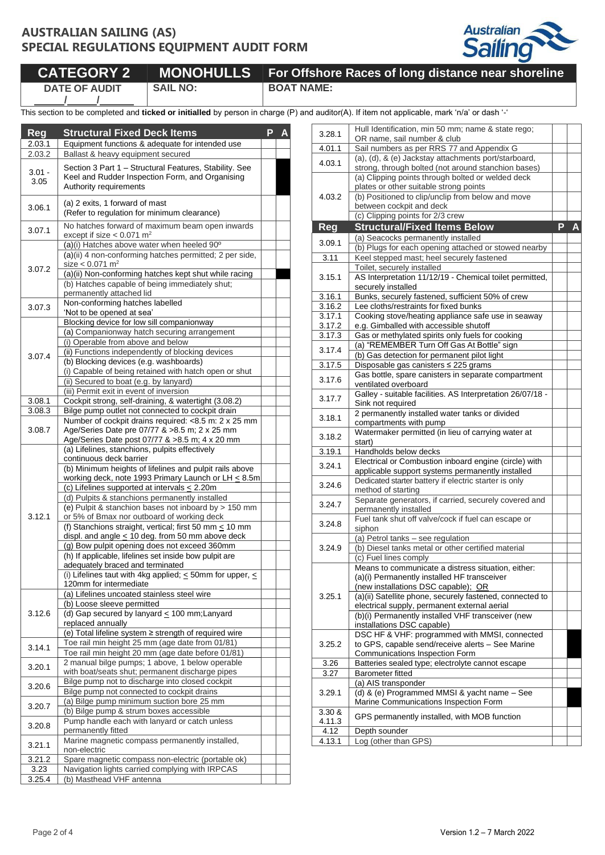**/ /**



|                      |                 | CATEGORY 2   MONOHULLS   For Offshore Races of long distance near shoreline |
|----------------------|-----------------|-----------------------------------------------------------------------------|
| <b>DATE OF AUDIT</b> | <b>SAIL NO:</b> | <b>BOAT NAME:</b>                                                           |

This section to be completed and **ticked or initialled** by person in charge (P) and auditor(A). If item not applicable, mark 'n/a' or dash '-'

| Reg              |                                                                   |                                                                                                                                                                                                                                                                                                                                                                                                                                                                                                                                                                                                                                                                                                                                                                                                                                                                                                                                                                                                                                                                                                                                                                                                                                                                                                                                                                                                                                                                                                                         |  |  |  |  |
|------------------|-------------------------------------------------------------------|-------------------------------------------------------------------------------------------------------------------------------------------------------------------------------------------------------------------------------------------------------------------------------------------------------------------------------------------------------------------------------------------------------------------------------------------------------------------------------------------------------------------------------------------------------------------------------------------------------------------------------------------------------------------------------------------------------------------------------------------------------------------------------------------------------------------------------------------------------------------------------------------------------------------------------------------------------------------------------------------------------------------------------------------------------------------------------------------------------------------------------------------------------------------------------------------------------------------------------------------------------------------------------------------------------------------------------------------------------------------------------------------------------------------------------------------------------------------------------------------------------------------------|--|--|--|--|
| 2.03.1<br>2.03.2 |                                                                   |                                                                                                                                                                                                                                                                                                                                                                                                                                                                                                                                                                                                                                                                                                                                                                                                                                                                                                                                                                                                                                                                                                                                                                                                                                                                                                                                                                                                                                                                                                                         |  |  |  |  |
|                  |                                                                   |                                                                                                                                                                                                                                                                                                                                                                                                                                                                                                                                                                                                                                                                                                                                                                                                                                                                                                                                                                                                                                                                                                                                                                                                                                                                                                                                                                                                                                                                                                                         |  |  |  |  |
| $3.01 -$         |                                                                   |                                                                                                                                                                                                                                                                                                                                                                                                                                                                                                                                                                                                                                                                                                                                                                                                                                                                                                                                                                                                                                                                                                                                                                                                                                                                                                                                                                                                                                                                                                                         |  |  |  |  |
| 3.05             | Authority requirements                                            |                                                                                                                                                                                                                                                                                                                                                                                                                                                                                                                                                                                                                                                                                                                                                                                                                                                                                                                                                                                                                                                                                                                                                                                                                                                                                                                                                                                                                                                                                                                         |  |  |  |  |
|                  |                                                                   | <b>Structural Fixed Deck Items</b><br>P<br>Δ<br>Equipment functions & adequate for intended use<br>Ballast & heavy equipment secured<br>Section 3 Part 1 - Structural Features, Stability. See<br>Keel and Rudder Inspection Form, and Organising<br>(a)(i) Hatches above water when heeled 90°<br>(a)(ii) 4 non-conforming hatches permitted; 2 per side,<br>(a)(ii) Non-conforming hatches kept shut while racing<br>(b) Hatches capable of being immediately shut;<br>(i) Operable from above and below<br>(ii) Functions independently of blocking devices<br>(b) Blocking devices (e.g. washboards)<br>(i) Capable of being retained with hatch open or shut<br>Number of cockpit drains required: <8.5 m: 2 x 25 mm<br>Age/Series Date pre 07/77 & >8.5 m; 2 x 25 mm<br>Age/Series Date post 07/77 & >8.5 m; 4 x 20 mm<br>(a) Lifelines, stanchions, pulpits effectively<br>(e) Pulpit & stanchion bases not inboard by > 150 mm<br>or 5% of Bmax nor outboard of working deck<br>(f) Stanchions straight, vertical; first 50 mm $\leq$ 10 mm<br>displ. and angle $\leq$ 10 deg. from 50 mm above deck<br>(i) Lifelines taut with 4kg applied; $\leq$ 50mm for upper, $\leq$<br>120mm for intermediate<br>(a) Lifelines uncoated stainless steel wire<br>Toe rail min height 20 mm (age date before 01/81)<br>2 manual bilge pumps; 1 above, 1 below operable<br>with boat/seats shut; permanent discharge pipes<br>Bilge pump not to discharge into closed cockpit<br>Bilge pump not connected to cockpit drains |  |  |  |  |
| 3.06.1           | (a) 2 exits, 1 forward of mast                                    |                                                                                                                                                                                                                                                                                                                                                                                                                                                                                                                                                                                                                                                                                                                                                                                                                                                                                                                                                                                                                                                                                                                                                                                                                                                                                                                                                                                                                                                                                                                         |  |  |  |  |
|                  | (Refer to regulation for minimum clearance)                       |                                                                                                                                                                                                                                                                                                                                                                                                                                                                                                                                                                                                                                                                                                                                                                                                                                                                                                                                                                                                                                                                                                                                                                                                                                                                                                                                                                                                                                                                                                                         |  |  |  |  |
| 3.07.1           | No hatches forward of maximum beam open inwards                   |                                                                                                                                                                                                                                                                                                                                                                                                                                                                                                                                                                                                                                                                                                                                                                                                                                                                                                                                                                                                                                                                                                                                                                                                                                                                                                                                                                                                                                                                                                                         |  |  |  |  |
|                  | except if size $< 0.071$ m <sup>2</sup>                           |                                                                                                                                                                                                                                                                                                                                                                                                                                                                                                                                                                                                                                                                                                                                                                                                                                                                                                                                                                                                                                                                                                                                                                                                                                                                                                                                                                                                                                                                                                                         |  |  |  |  |
|                  |                                                                   |                                                                                                                                                                                                                                                                                                                                                                                                                                                                                                                                                                                                                                                                                                                                                                                                                                                                                                                                                                                                                                                                                                                                                                                                                                                                                                                                                                                                                                                                                                                         |  |  |  |  |
|                  |                                                                   |                                                                                                                                                                                                                                                                                                                                                                                                                                                                                                                                                                                                                                                                                                                                                                                                                                                                                                                                                                                                                                                                                                                                                                                                                                                                                                                                                                                                                                                                                                                         |  |  |  |  |
| 3.07.2           | size $< 0.071$ m <sup>2</sup>                                     |                                                                                                                                                                                                                                                                                                                                                                                                                                                                                                                                                                                                                                                                                                                                                                                                                                                                                                                                                                                                                                                                                                                                                                                                                                                                                                                                                                                                                                                                                                                         |  |  |  |  |
|                  |                                                                   |                                                                                                                                                                                                                                                                                                                                                                                                                                                                                                                                                                                                                                                                                                                                                                                                                                                                                                                                                                                                                                                                                                                                                                                                                                                                                                                                                                                                                                                                                                                         |  |  |  |  |
|                  | permanently attached lid                                          |                                                                                                                                                                                                                                                                                                                                                                                                                                                                                                                                                                                                                                                                                                                                                                                                                                                                                                                                                                                                                                                                                                                                                                                                                                                                                                                                                                                                                                                                                                                         |  |  |  |  |
| 3.07.3           | Non-conforming hatches labelled                                   |                                                                                                                                                                                                                                                                                                                                                                                                                                                                                                                                                                                                                                                                                                                                                                                                                                                                                                                                                                                                                                                                                                                                                                                                                                                                                                                                                                                                                                                                                                                         |  |  |  |  |
|                  | 'Not to be opened at sea'                                         |                                                                                                                                                                                                                                                                                                                                                                                                                                                                                                                                                                                                                                                                                                                                                                                                                                                                                                                                                                                                                                                                                                                                                                                                                                                                                                                                                                                                                                                                                                                         |  |  |  |  |
|                  | Blocking device for low sill companionway                         |                                                                                                                                                                                                                                                                                                                                                                                                                                                                                                                                                                                                                                                                                                                                                                                                                                                                                                                                                                                                                                                                                                                                                                                                                                                                                                                                                                                                                                                                                                                         |  |  |  |  |
|                  | (a) Companionway hatch securing arrangement                       |                                                                                                                                                                                                                                                                                                                                                                                                                                                                                                                                                                                                                                                                                                                                                                                                                                                                                                                                                                                                                                                                                                                                                                                                                                                                                                                                                                                                                                                                                                                         |  |  |  |  |
|                  |                                                                   |                                                                                                                                                                                                                                                                                                                                                                                                                                                                                                                                                                                                                                                                                                                                                                                                                                                                                                                                                                                                                                                                                                                                                                                                                                                                                                                                                                                                                                                                                                                         |  |  |  |  |
| 3.07.4           |                                                                   |                                                                                                                                                                                                                                                                                                                                                                                                                                                                                                                                                                                                                                                                                                                                                                                                                                                                                                                                                                                                                                                                                                                                                                                                                                                                                                                                                                                                                                                                                                                         |  |  |  |  |
|                  |                                                                   |                                                                                                                                                                                                                                                                                                                                                                                                                                                                                                                                                                                                                                                                                                                                                                                                                                                                                                                                                                                                                                                                                                                                                                                                                                                                                                                                                                                                                                                                                                                         |  |  |  |  |
|                  | (ii) Secured to boat (e.g. by lanyard)                            |                                                                                                                                                                                                                                                                                                                                                                                                                                                                                                                                                                                                                                                                                                                                                                                                                                                                                                                                                                                                                                                                                                                                                                                                                                                                                                                                                                                                                                                                                                                         |  |  |  |  |
|                  | (iii) Permit exit in event of inversion                           |                                                                                                                                                                                                                                                                                                                                                                                                                                                                                                                                                                                                                                                                                                                                                                                                                                                                                                                                                                                                                                                                                                                                                                                                                                                                                                                                                                                                                                                                                                                         |  |  |  |  |
| 3.08.1           | Cockpit strong, self-draining, & watertight (3.08.2)              |                                                                                                                                                                                                                                                                                                                                                                                                                                                                                                                                                                                                                                                                                                                                                                                                                                                                                                                                                                                                                                                                                                                                                                                                                                                                                                                                                                                                                                                                                                                         |  |  |  |  |
| 3.08.3           | Bilge pump outlet not connected to cockpit drain                  |                                                                                                                                                                                                                                                                                                                                                                                                                                                                                                                                                                                                                                                                                                                                                                                                                                                                                                                                                                                                                                                                                                                                                                                                                                                                                                                                                                                                                                                                                                                         |  |  |  |  |
|                  |                                                                   |                                                                                                                                                                                                                                                                                                                                                                                                                                                                                                                                                                                                                                                                                                                                                                                                                                                                                                                                                                                                                                                                                                                                                                                                                                                                                                                                                                                                                                                                                                                         |  |  |  |  |
| 3.08.7           |                                                                   |                                                                                                                                                                                                                                                                                                                                                                                                                                                                                                                                                                                                                                                                                                                                                                                                                                                                                                                                                                                                                                                                                                                                                                                                                                                                                                                                                                                                                                                                                                                         |  |  |  |  |
|                  |                                                                   |                                                                                                                                                                                                                                                                                                                                                                                                                                                                                                                                                                                                                                                                                                                                                                                                                                                                                                                                                                                                                                                                                                                                                                                                                                                                                                                                                                                                                                                                                                                         |  |  |  |  |
|                  | continuous deck barrier                                           |                                                                                                                                                                                                                                                                                                                                                                                                                                                                                                                                                                                                                                                                                                                                                                                                                                                                                                                                                                                                                                                                                                                                                                                                                                                                                                                                                                                                                                                                                                                         |  |  |  |  |
|                  | (b) Minimum heights of lifelines and pulpit rails above           |                                                                                                                                                                                                                                                                                                                                                                                                                                                                                                                                                                                                                                                                                                                                                                                                                                                                                                                                                                                                                                                                                                                                                                                                                                                                                                                                                                                                                                                                                                                         |  |  |  |  |
|                  | working deck, note 1993 Primary Launch or LH $\leq$ 8.5m          |                                                                                                                                                                                                                                                                                                                                                                                                                                                                                                                                                                                                                                                                                                                                                                                                                                                                                                                                                                                                                                                                                                                                                                                                                                                                                                                                                                                                                                                                                                                         |  |  |  |  |
|                  | (c) Lifelines supported at intervals $\leq$ 2.20m                 |                                                                                                                                                                                                                                                                                                                                                                                                                                                                                                                                                                                                                                                                                                                                                                                                                                                                                                                                                                                                                                                                                                                                                                                                                                                                                                                                                                                                                                                                                                                         |  |  |  |  |
|                  | (d) Pulpits & stanchions permanently installed                    |                                                                                                                                                                                                                                                                                                                                                                                                                                                                                                                                                                                                                                                                                                                                                                                                                                                                                                                                                                                                                                                                                                                                                                                                                                                                                                                                                                                                                                                                                                                         |  |  |  |  |
|                  |                                                                   |                                                                                                                                                                                                                                                                                                                                                                                                                                                                                                                                                                                                                                                                                                                                                                                                                                                                                                                                                                                                                                                                                                                                                                                                                                                                                                                                                                                                                                                                                                                         |  |  |  |  |
| 3.12.1           |                                                                   |                                                                                                                                                                                                                                                                                                                                                                                                                                                                                                                                                                                                                                                                                                                                                                                                                                                                                                                                                                                                                                                                                                                                                                                                                                                                                                                                                                                                                                                                                                                         |  |  |  |  |
|                  |                                                                   |                                                                                                                                                                                                                                                                                                                                                                                                                                                                                                                                                                                                                                                                                                                                                                                                                                                                                                                                                                                                                                                                                                                                                                                                                                                                                                                                                                                                                                                                                                                         |  |  |  |  |
|                  | (g) Bow pulpit opening does not exceed 360mm                      |                                                                                                                                                                                                                                                                                                                                                                                                                                                                                                                                                                                                                                                                                                                                                                                                                                                                                                                                                                                                                                                                                                                                                                                                                                                                                                                                                                                                                                                                                                                         |  |  |  |  |
|                  | (h) If applicable, lifelines set inside bow pulpit are            |                                                                                                                                                                                                                                                                                                                                                                                                                                                                                                                                                                                                                                                                                                                                                                                                                                                                                                                                                                                                                                                                                                                                                                                                                                                                                                                                                                                                                                                                                                                         |  |  |  |  |
|                  | adequately braced and terminated                                  |                                                                                                                                                                                                                                                                                                                                                                                                                                                                                                                                                                                                                                                                                                                                                                                                                                                                                                                                                                                                                                                                                                                                                                                                                                                                                                                                                                                                                                                                                                                         |  |  |  |  |
|                  |                                                                   |                                                                                                                                                                                                                                                                                                                                                                                                                                                                                                                                                                                                                                                                                                                                                                                                                                                                                                                                                                                                                                                                                                                                                                                                                                                                                                                                                                                                                                                                                                                         |  |  |  |  |
|                  |                                                                   |                                                                                                                                                                                                                                                                                                                                                                                                                                                                                                                                                                                                                                                                                                                                                                                                                                                                                                                                                                                                                                                                                                                                                                                                                                                                                                                                                                                                                                                                                                                         |  |  |  |  |
|                  | (b) Loose sleeve permitted                                        |                                                                                                                                                                                                                                                                                                                                                                                                                                                                                                                                                                                                                                                                                                                                                                                                                                                                                                                                                                                                                                                                                                                                                                                                                                                                                                                                                                                                                                                                                                                         |  |  |  |  |
| 3.12.6           | (d) Gap secured by lanyard < 100 mm; Lanyard                      |                                                                                                                                                                                                                                                                                                                                                                                                                                                                                                                                                                                                                                                                                                                                                                                                                                                                                                                                                                                                                                                                                                                                                                                                                                                                                                                                                                                                                                                                                                                         |  |  |  |  |
|                  | replaced annually                                                 |                                                                                                                                                                                                                                                                                                                                                                                                                                                                                                                                                                                                                                                                                                                                                                                                                                                                                                                                                                                                                                                                                                                                                                                                                                                                                                                                                                                                                                                                                                                         |  |  |  |  |
|                  | (e) Total lifeline system ≥ strength of required wire             |                                                                                                                                                                                                                                                                                                                                                                                                                                                                                                                                                                                                                                                                                                                                                                                                                                                                                                                                                                                                                                                                                                                                                                                                                                                                                                                                                                                                                                                                                                                         |  |  |  |  |
| 3.14.1           | Toe rail min height 25 mm (age date from 01/81)                   |                                                                                                                                                                                                                                                                                                                                                                                                                                                                                                                                                                                                                                                                                                                                                                                                                                                                                                                                                                                                                                                                                                                                                                                                                                                                                                                                                                                                                                                                                                                         |  |  |  |  |
|                  |                                                                   |                                                                                                                                                                                                                                                                                                                                                                                                                                                                                                                                                                                                                                                                                                                                                                                                                                                                                                                                                                                                                                                                                                                                                                                                                                                                                                                                                                                                                                                                                                                         |  |  |  |  |
| 3.20.1           |                                                                   |                                                                                                                                                                                                                                                                                                                                                                                                                                                                                                                                                                                                                                                                                                                                                                                                                                                                                                                                                                                                                                                                                                                                                                                                                                                                                                                                                                                                                                                                                                                         |  |  |  |  |
|                  |                                                                   |                                                                                                                                                                                                                                                                                                                                                                                                                                                                                                                                                                                                                                                                                                                                                                                                                                                                                                                                                                                                                                                                                                                                                                                                                                                                                                                                                                                                                                                                                                                         |  |  |  |  |
| 3.20.6           |                                                                   |                                                                                                                                                                                                                                                                                                                                                                                                                                                                                                                                                                                                                                                                                                                                                                                                                                                                                                                                                                                                                                                                                                                                                                                                                                                                                                                                                                                                                                                                                                                         |  |  |  |  |
|                  | (a) Bilge pump minimum suction bore 25 mm                         |                                                                                                                                                                                                                                                                                                                                                                                                                                                                                                                                                                                                                                                                                                                                                                                                                                                                                                                                                                                                                                                                                                                                                                                                                                                                                                                                                                                                                                                                                                                         |  |  |  |  |
| 3.20.7           | (b) Bilge pump & strum boxes accessible                           |                                                                                                                                                                                                                                                                                                                                                                                                                                                                                                                                                                                                                                                                                                                                                                                                                                                                                                                                                                                                                                                                                                                                                                                                                                                                                                                                                                                                                                                                                                                         |  |  |  |  |
| 3.20.8           | Pump handle each with lanyard or catch unless                     |                                                                                                                                                                                                                                                                                                                                                                                                                                                                                                                                                                                                                                                                                                                                                                                                                                                                                                                                                                                                                                                                                                                                                                                                                                                                                                                                                                                                                                                                                                                         |  |  |  |  |
|                  | permanently fitted                                                |                                                                                                                                                                                                                                                                                                                                                                                                                                                                                                                                                                                                                                                                                                                                                                                                                                                                                                                                                                                                                                                                                                                                                                                                                                                                                                                                                                                                                                                                                                                         |  |  |  |  |
| 3.21.1           | Marine magnetic compass permanently installed,                    |                                                                                                                                                                                                                                                                                                                                                                                                                                                                                                                                                                                                                                                                                                                                                                                                                                                                                                                                                                                                                                                                                                                                                                                                                                                                                                                                                                                                                                                                                                                         |  |  |  |  |
| 3.21.2           | non-electric<br>Spare magnetic compass non-electric (portable ok) |                                                                                                                                                                                                                                                                                                                                                                                                                                                                                                                                                                                                                                                                                                                                                                                                                                                                                                                                                                                                                                                                                                                                                                                                                                                                                                                                                                                                                                                                                                                         |  |  |  |  |
| 3.23             | Navigation lights carried complying with IRPCAS                   |                                                                                                                                                                                                                                                                                                                                                                                                                                                                                                                                                                                                                                                                                                                                                                                                                                                                                                                                                                                                                                                                                                                                                                                                                                                                                                                                                                                                                                                                                                                         |  |  |  |  |
| 3.25.4           | (b) Masthead VHF antenna                                          |                                                                                                                                                                                                                                                                                                                                                                                                                                                                                                                                                                                                                                                                                                                                                                                                                                                                                                                                                                                                                                                                                                                                                                                                                                                                                                                                                                                                                                                                                                                         |  |  |  |  |
|                  |                                                                   |                                                                                                                                                                                                                                                                                                                                                                                                                                                                                                                                                                                                                                                                                                                                                                                                                                                                                                                                                                                                                                                                                                                                                                                                                                                                                                                                                                                                                                                                                                                         |  |  |  |  |

| 3.28.1           | Hull Identification, min 50 mm; name & state rego;                                      |                |                |
|------------------|-----------------------------------------------------------------------------------------|----------------|----------------|
| 4.01.1           | OR name, sail number & club<br>Sail numbers as per RRS 77 and Appendix G                |                |                |
|                  | (a), (d), & (e) Jackstay attachments port/starboard,                                    |                |                |
| 4.03.1           | strong, through bolted (not around stanchion bases)                                     |                |                |
|                  | (a) Clipping points through bolted or welded deck                                       |                |                |
|                  | plates or other suitable strong points                                                  |                |                |
| 4.03.2           | (b) Positioned to clip/unclip from below and move                                       |                |                |
|                  | between cockpit and deck                                                                |                |                |
|                  | (c) Clipping points for 2/3 crew                                                        |                |                |
| <b>Reg</b>       | <b>Structural/Fixed Items Below</b>                                                     | $\overline{P}$ | $\overline{A}$ |
| 3.09.1           | (a) Seacocks permanently installed                                                      |                |                |
|                  | (b) Plugs for each opening attached or stowed nearby                                    |                |                |
| 3.11             | Keel stepped mast; heel securely fastened<br>Toilet, securely installed                 |                |                |
| 3.15.1           | AS Interpretation 11/12/19 - Chemical toilet permitted,                                 |                |                |
|                  | securely installed                                                                      |                |                |
| 3.16.1           | Bunks, securely fastened, sufficient 50% of crew                                        |                |                |
| 3.16.2           | Lee cloths/restraints for fixed bunks                                                   |                |                |
| 3.17.1           | Cooking stove/heating appliance safe use in seaway                                      |                |                |
| 3.17.2           | e.g. Gimballed with accessible shutoff                                                  |                |                |
| 3.17.3           | Gas or methylated spirits only fuels for cooking                                        |                |                |
| 3.17.4           | (a) "REMEMBER Turn Off Gas At Bottle" sign                                              |                |                |
|                  | (b) Gas detection for permanent pilot light                                             |                |                |
| 3.17.5           | Disposable gas canisters ≤ 225 grams                                                    |                |                |
| 3.17.6           | Gas bottle, spare canisters in separate compartment<br>ventilated overboard             |                |                |
|                  | Galley - suitable facilities. AS Interpretation 26/07/18 -                              |                |                |
| 3.17.7           | Sink not required                                                                       |                |                |
|                  | 2 permanently installed water tanks or divided                                          |                |                |
| 3.18.1           | compartments with pump                                                                  |                |                |
| 3.18.2           | Watermaker permitted (in lieu of carrying water at                                      |                |                |
|                  | start)                                                                                  |                |                |
| 3.19.1           | Handholds below decks<br>Electrical or Combustion inboard engine (circle) with          |                |                |
| 3.24.1           | applicable support systems permanently installed                                        |                |                |
|                  | Dedicated starter battery if electric starter is only                                   |                |                |
| 3.24.6           | method of starting                                                                      |                |                |
| 3.24.7           | Separate generators, if carried, securely covered and                                   |                |                |
|                  | permanently installed                                                                   |                |                |
| 3.24.8           | Fuel tank shut off valve/cock if fuel can escape or                                     |                |                |
|                  | siphon                                                                                  |                |                |
| 3.24.9           | (a) Petrol tanks - see regulation<br>(b) Diesel tanks metal or other certified material |                |                |
|                  | (c) Fuel lines comply                                                                   |                |                |
|                  | Means to communicate a distress situation, either:                                      |                |                |
|                  | (a)(i) Permanently installed HF transceiver                                             |                |                |
|                  | (new installations DSC capable); OR                                                     |                |                |
| 3.25.1           | (a)(ii) Satellite phone, securely fastened, connected to                                |                |                |
|                  | electrical supply, permanent external aerial                                            |                |                |
|                  | (b)(i) Permanently installed VHF transceiver (new                                       |                |                |
|                  | installations DSC capable)<br>DSC HF & VHF: programmed with MMSI, connected             |                |                |
| 3.25.2           | to GPS, capable send/receive alerts - See Marine                                        |                |                |
|                  | Communications Inspection Form                                                          |                |                |
| 3.26             | Batteries sealed type; electrolyte cannot escape                                        |                |                |
| 3.27             | <b>Barometer fitted</b>                                                                 |                |                |
|                  | (a) AIS transponder                                                                     |                |                |
| 3.29.1           | (d) & (e) Programmed MMSI & yacht name - See                                            |                |                |
|                  | Marine Communications Inspection Form                                                   |                |                |
| 3.30 &<br>4.11.3 | GPS permanently installed, with MOB function                                            |                |                |
| 4.12             | Depth sounder                                                                           |                |                |
| 4.13.1           | Log (other than GPS)                                                                    |                |                |
|                  |                                                                                         |                |                |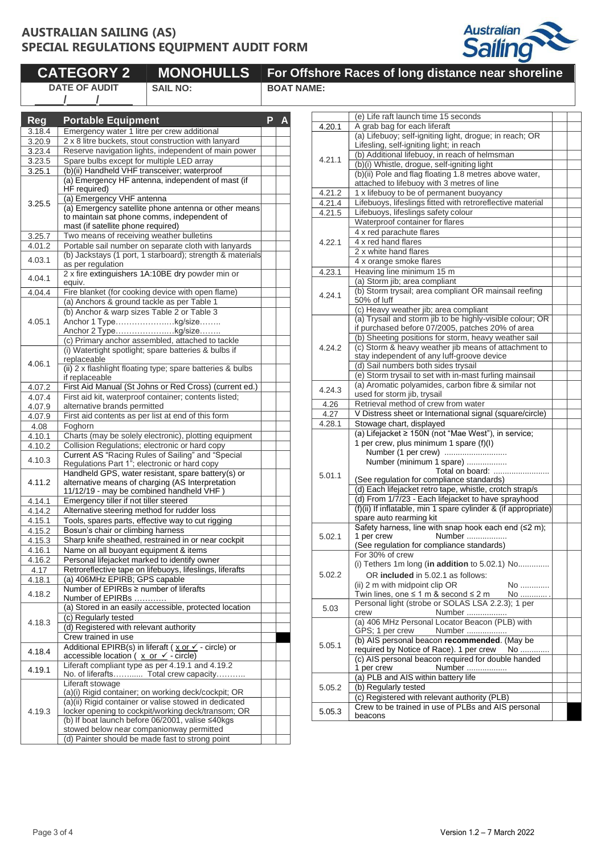

|            | <b>CATEGORY 2</b>                                   | <b>MONOHULLS</b>                                                                                    |   |                   | For Offshore Races of long dista                             |
|------------|-----------------------------------------------------|-----------------------------------------------------------------------------------------------------|---|-------------------|--------------------------------------------------------------|
|            | <b>DATE OF AUDIT</b>                                | <b>SAIL NO:</b>                                                                                     |   | <b>BOAT NAME:</b> |                                                              |
|            |                                                     |                                                                                                     |   |                   |                                                              |
|            |                                                     |                                                                                                     |   |                   | (e) Life raft launch time 15 s                               |
| <b>Reg</b> | <b>Portable Equipment</b>                           |                                                                                                     | P | 4.20.1            | A grab bag for each liferaft                                 |
| 3.18.4     |                                                     | Emergency water 1 litre per crew additional                                                         |   |                   | (a) Lifebuoy; self-igniting lig                              |
| 3.20.9     |                                                     | 2 x 8 litre buckets, stout construction with lanyard                                                |   |                   | Lifesling, self-igniting light; i                            |
| 3.23.4     |                                                     | Reserve navigation lights, independent of main power                                                |   | 4.21.1            | (b) Additional lifebuoy, in rea                              |
| 3.23.5     | Spare bulbs except for multiple LED array           | (b)(ii) Handheld VHF transceiver; waterproof                                                        |   |                   | (b)(i) Whistle, drogue, self-ig                              |
| 3.25.1     |                                                     | (a) Emergency HF antenna, independent of mast (if                                                   |   |                   | (b)(ii) Pole and flag floating                               |
|            | HF required)                                        |                                                                                                     |   |                   | attached to lifebuoy with 3 n                                |
|            | (a) Emergency VHF antenna                           |                                                                                                     |   | 4.21.2            | 1 x lifebuoy to be of perman                                 |
| 3.25.5     |                                                     | (a) Emergency satellite phone antenna or other means                                                |   | 4.21.4            | Lifebuoys, lifeslings fitted wi                              |
|            |                                                     | to maintain sat phone comms, independent of                                                         |   | 4.21.5            | Lifebuoys, lifeslings safety o                               |
|            | mast (if satellite phone required)                  |                                                                                                     |   |                   | Waterproof container for fla                                 |
| 3.25.7     | Two means of receiving weather bulletins            |                                                                                                     |   |                   | 4 x red parachute flares                                     |
| 4.01.2     |                                                     | Portable sail number on separate cloth with lanyards                                                |   | 4.22.1            | 4 x red hand flares                                          |
|            |                                                     | (b) Jackstays (1 port, 1 starboard); strength & materials                                           |   |                   | 2 x white hand flares                                        |
| 4.03.1     | as per regulation                                   |                                                                                                     |   |                   | 4 x orange smoke flares                                      |
| 4.04.1     |                                                     | 2 x fire extinguishers 1A:10BE dry powder min or                                                    |   | 4.23.1            | Heaving line minimum 15 m                                    |
|            | equiv.                                              |                                                                                                     |   |                   | (a) Storm jib; area complian                                 |
| 4.04.4     |                                                     | Fire blanket (for cooking device with open flame)                                                   |   | 4.24.1            | (b) Storm trysail; area comp                                 |
|            |                                                     | (a) Anchors & ground tackle as per Table 1                                                          |   |                   | 50% of luff                                                  |
|            |                                                     | (b) Anchor & warp sizes Table 2 or Table 3                                                          |   |                   | (c) Heavy weather jib; area                                  |
| 4.05.1     |                                                     | Anchor 1 Typekg/size                                                                                |   |                   | (a) Trysail and storm jib to b                               |
|            |                                                     | Anchor 2 Typekg/size                                                                                |   |                   | if purchased before 07/2005<br>(b) Sheeting positions for st |
|            |                                                     | (c) Primary anchor assembled, attached to tackle                                                    |   |                   | (c) Storm & heavy weather j                                  |
|            |                                                     | (i) Watertight spotlight; spare batteries & bulbs if                                                |   | 4.24.2            | stay independent of any luff                                 |
| 4.06.1     | replaceable                                         |                                                                                                     |   |                   | (d) Sail numbers both sides                                  |
|            |                                                     | (ii) 2 x flashlight floating type; spare batteries & bulbs                                          |   |                   | (e) Storm trysail to set with i                              |
|            | if replaceable                                      |                                                                                                     |   |                   | (a) Aromatic polyamides, ca                                  |
| 4.07.2     |                                                     | First Aid Manual (St Johns or Red Cross) (current ed.)                                              |   | 4.24.3            | used for storm jib, trysail                                  |
| 4.07.4     | alternative brands permitted                        | First aid kit, waterproof container; contents listed;                                               |   | 4.26              | Retrieval method of crew fro                                 |
| 4.07.9     |                                                     |                                                                                                     |   | 4.27              | V Distress sheet or Internati                                |
| 4.07.9     |                                                     | First aid contents as per list at end of this form                                                  |   | 4.28.1            | Stowage chart, displayed                                     |
| 4.08       | Foghorn                                             |                                                                                                     |   |                   | (a) Lifejacket ≥ 150N (not "M                                |
| 4.10.1     |                                                     | Charts (may be solely electronic), plotting equipment                                               |   |                   | 1 per crew, plus minimum 1                                   |
| 4.10.2     |                                                     | Collision Regulations; electronic or hard copy<br>Current AS "Racing Rules of Sailing" and "Special |   |                   | Number (1 per crew)                                          |
| 4.10.3     |                                                     | Regulations Part 1"; electronic or hard copy                                                        |   |                   | Number (minimum 1 spa                                        |
|            |                                                     | Handheld GPS, water resistant, spare battery(s) or                                                  |   |                   | Total                                                        |
| 4.11.2     |                                                     | alternative means of charging (AS Interpretation                                                    |   | 5.01.1            | (See regulation for compliar                                 |
|            |                                                     | 11/12/19 - may be combined handheld VHF)                                                            |   |                   | (d) Each lifejacket retro tape                               |
| 4.14.1     | Emergency tiller if not tiller steered              |                                                                                                     |   |                   | (d) From 1/7/23 - Each lifeja                                |
| 4.14.2     | Alternative steering method for rudder loss         |                                                                                                     |   |                   | (f)(ii) If inflatable, min 1 spar                            |
| 4.15.1     |                                                     | Tools, spares parts, effective way to cut rigging                                                   |   |                   | spare auto rearming kit                                      |
| 4.15.2     | Bosun's chair or climbing harness                   |                                                                                                     |   |                   | Safety harness, line with sn                                 |
| 4.15.3     |                                                     | Sharp knife sheathed, restrained in or near cockpit                                                 |   | 5.02.1            | 1 per crew<br>Numl                                           |
| 4.16.1     | Name on all buoyant equipment & items               |                                                                                                     |   |                   | (See regulation for compliar                                 |
| 4.16.2     |                                                     | Personal lifejacket marked to identify owner                                                        |   |                   | For 30% of crew                                              |
| 4.17       |                                                     | Retroreflective tape on lifebuoys, lifeslings, liferafts                                            |   |                   | (i) Tethers 1m long (in addi                                 |
| 4.18.1     | (a) 406MHz EPIRB; GPS capable                       |                                                                                                     |   | 5.02.2            | OR included in 5.02.1 a                                      |
|            | Number of EPIRBs ≥ number of liferafts              |                                                                                                     |   |                   | (ii) 2 m with midpoint clip Of                               |
| 4.18.2     | Number of EPIRBs                                    |                                                                                                     |   |                   | Twin lines, one $\leq 1$ m & sec                             |
|            |                                                     | (a) Stored in an easily accessible, protected location                                              |   | 5.03              | Personal light (strobe or SC                                 |
|            | (c) Regularly tested                                |                                                                                                     |   |                   | Num<br>crew<br>(a) 406 MHz Personal Local                    |
| 4.18.3     | (d) Registered with relevant authority              |                                                                                                     |   |                   |                                                              |
|            | Crew trained in use                                 |                                                                                                     |   |                   | GPS; 1 per crew<br>Num<br>(b) AIS personal beacon re         |
|            |                                                     | Additional EPIRB(s) in liferaft ( $x$ or $\checkmark$ - circle) or                                  |   | 5.05.1            | required by Notice of Race)                                  |
| 4.18.4     | accessible location ( $x$ or $\checkmark$ - circle) |                                                                                                     |   |                   | (c) AIS personal beacon red                                  |
|            |                                                     | Liferaft compliant type as per 4.19.1 and 4.19.2                                                    |   |                   | Numl<br>1 per crew                                           |
| 4.19.1     |                                                     | No. of liferafts Total crew capacity                                                                |   |                   | (a) PLB and AIS within batte                                 |
|            | Liferaft stowage                                    |                                                                                                     |   | 5.05.2            | (b) Regularly tested                                         |
|            |                                                     | (a)(i) Rigid container; on working deck/cockpit; OR                                                 |   |                   | (c) Registered with relevant                                 |
|            |                                                     | (a)(ii) Rigid container or valise stowed in dedicated                                               |   |                   | Crew to be trained in use of                                 |
| 4.19.3     |                                                     | locker opening to cockpit/working deck/transom; OR                                                  |   | 5.05.3            | beacons                                                      |
|            |                                                     | (b) If boat launch before 06/2001, valise ≤40kgs                                                    |   |                   |                                                              |
|            |                                                     | stowed below near companionway permitted                                                            |   |                   |                                                              |
|            |                                                     | (d) Painter should be made fast to strong point                                                     |   |                   |                                                              |
|            |                                                     |                                                                                                     |   |                   |                                                              |

#### seconds ht, drogue; in reach; OR  $\overline{\text{in}}$  reach ach of helmsman gniting light  $\overline{1.8}$  metres above water, netres of line hent buoyancy ith retroreflective material .<br>olour Waterproof container for flares 4.23.1 Heaving line minimum 15 m (a) Storm jib; area compliant bliant OR mainsail reefing compliant e highly-visible colour; OR 5, patches 20% of area torm, heavy weather sail jib means of attachment to groove device trysail in-mast furling mainsail arbon fibre & similar not om water ional signal (square/circle) Mae West"), in service; spare  $(f)(I)$ Number (1 per crew) ............................ ne) ................... nc, .......<br>on board: ........................ nce standards) e, whistle, crotch strap/s acket to have sprayhood re cylinder & (if appropriate) ap hook each end  $(\leq 2$  m); ber ............. nce standards) **ition** to 5.02.1) No.............. as follows: (∵<br>| ii) 2 m with Mo ..............<br>| No ............. <u>No ............</u> DLAS LSA 2.2.3); 1 per ber ............. tor Beacon (PLB) with GPS; 1 per crew Number ................. (b) AIS personal beacon **recommended**. (May be  $r$ . 1 per crew  $\sum_{n=1}^{\infty}$  No ...... auired for double handed ber ........... ery life authority (PLB) PLBs and AIS personal